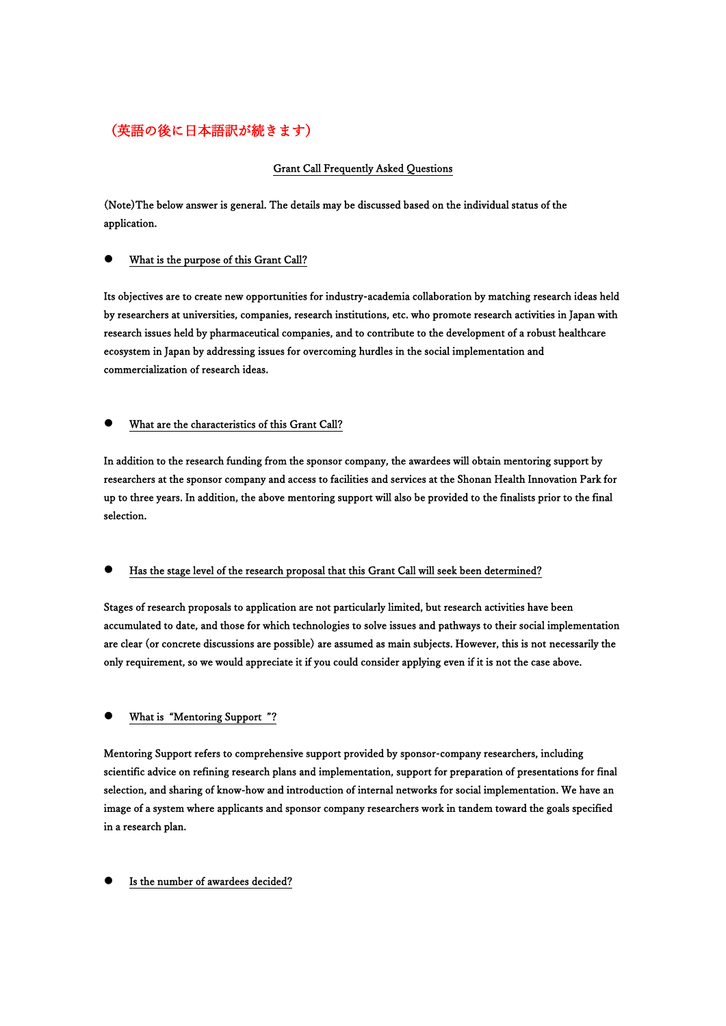# (英語の後に日本語訳が続きます)

## Grant Call Frequently Asked Questions

(Note)The below answer is general. The details may be discussed based on the individual status of the application.

### ⚫ What is the purpose of this Grant Call?

Its objectives are to create new opportunities for industry-academia collaboration by matching research ideas held by researchers at universities, companies, research institutions, etc. who promote research activities in Japan with research issues held by pharmaceutical companies, and to contribute to the development of a robust healthcare ecosystem in Japan by addressing issues for overcoming hurdles in the social implementation and commercialization of research ideas.

## ⚫ What are the characteristics of this Grant Call?

In addition to the research funding from the sponsor company, the awardees will obtain mentoring support by researchers at the sponsor company and access to facilities and services at the Shonan Health Innovation Park for up to three years. In addition, the above mentoring support will also be provided to the finalists prior to the final selection.

Has the stage level of the research proposal that this Grant Call will seek been determined?

Stages of research proposals to application are not particularly limited, but research activities have been accumulated to date, and those for which technologies to solve issues and pathways to their social implementation are clear (or concrete discussions are possible) are assumed as main subjects. However, this is not necessarily the only requirement, so we would appreciate it if you could consider applying even if it is not the case above.

### ⚫ What is "Mentoring Support "?

Mentoring Support refers to comprehensive support provided by sponsor-company researchers, including scientific advice on refining research plans and implementation, support for preparation of presentations for final selection, and sharing of know-how and introduction of internal networks for social implementation. We have an image of a system where applicants and sponsor company researchers work in tandem toward the goals specified in a research plan.

### Is the number of awardees decided?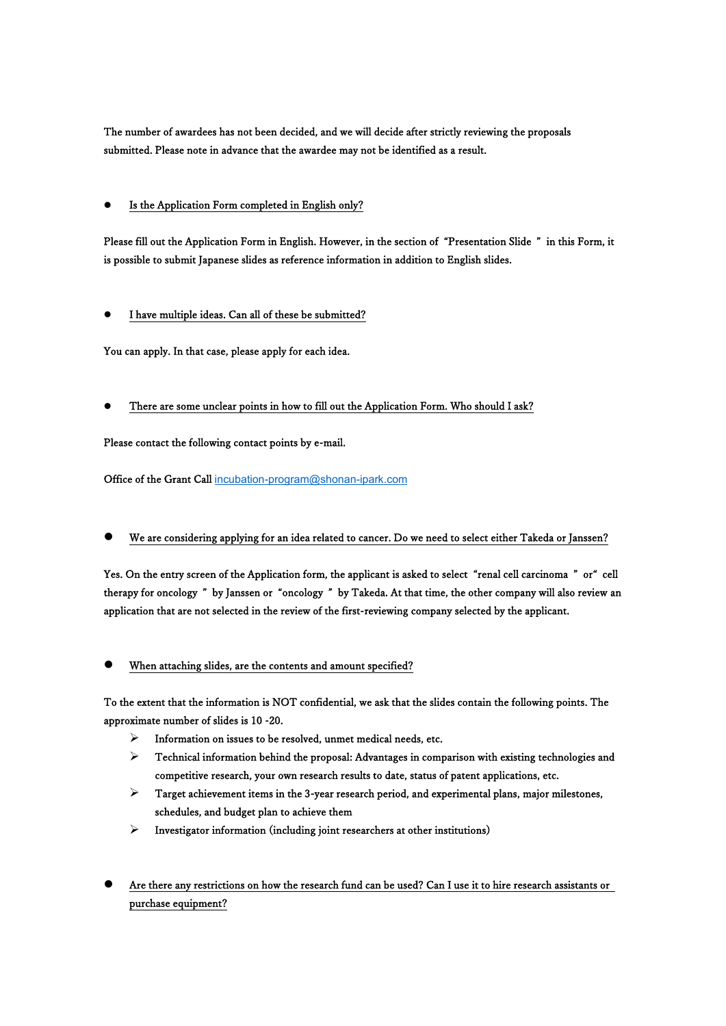The number of awardees has not been decided, and we will decide after strictly reviewing the proposals submitted. Please note in advance that the awardee may not be identified as a result.

## ⚫ Is the Application Form completed in English only?

Please fill out the Application Form in English. However, in the section of "Presentation Slide " in this Form, it is possible to submit Japanese slides as reference information in addition to English slides.

## ⚫ I have multiple ideas. Can all of these be submitted?

You can apply. In that case, please apply for each idea.

## ⚫ There are some unclear points in how to fill out the Application Form. Who should I ask?

Please contact the following contact points by e-mail.

Office of the Grant Call [incubation-program@shonan-ipark.com](mailto:incubation-program@shonan-ipark.com)

## ⚫ We are considering applying for an idea related to cancer. Do we need to select either Takeda or Janssen?

Yes. On the entry screen of the Application form, the applicant is asked to select "renal cell carcinoma " or" cell therapy for oncology " by Janssen or "oncology " by Takeda. At that time, the other company will also review an application that are not selected in the review of the first-reviewing company selected by the applicant.

### When attaching slides, are the contents and amount specified?

To the extent that the information is NOT confidential, we ask that the slides contain the following points. The approximate number of slides is 10 -20.

- ➢ Information on issues to be resolved, unmet medical needs, etc.
- ➢ Technical information behind the proposal: Advantages in comparison with existing technologies and competitive research, your own research results to date, status of patent applications, etc.
- ➢ Target achievement items in the 3-year research period, and experimental plans, major milestones, schedules, and budget plan to achieve them
- ➢ Investigator information (including joint researchers at other institutions)
- ⚫ Are there any restrictions on how the research fund can be used? Can I use it to hire research assistants or purchase equipment?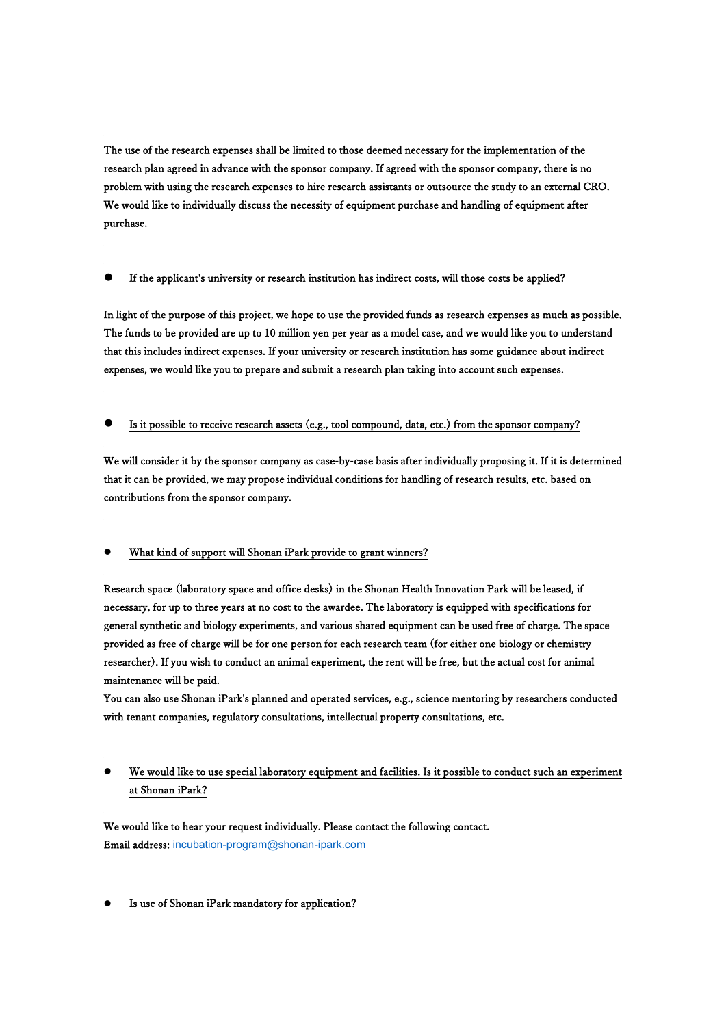The use of the research expenses shall be limited to those deemed necessary for the implementation of the research plan agreed in advance with the sponsor company. If agreed with the sponsor company, there is no problem with using the research expenses to hire research assistants or outsource the study to an external CRO. We would like to individually discuss the necessity of equipment purchase and handling of equipment after purchase.

## ⚫ If the applicant's university or research institution has indirect costs, will those costs be applied?

In light of the purpose of this project, we hope to use the provided funds as research expenses as much as possible. The funds to be provided are up to 10 million yen per year as a model case, and we would like you to understand that this includes indirect expenses. If your university or research institution has some guidance about indirect expenses, we would like you to prepare and submit a research plan taking into account such expenses.

### Is it possible to receive research assets (e.g., tool compound, data, etc.) from the sponsor company?

We will consider it by the sponsor company as case-by-case basis after individually proposing it. If it is determined that it can be provided, we may propose individual conditions for handling of research results, etc. based on contributions from the sponsor company.

## ⚫ What kind of support will Shonan iPark provide to grant winners?

Research space (laboratory space and office desks) in the Shonan Health Innovation Park will be leased, if necessary, for up to three years at no cost to the awardee. The laboratory is equipped with specifications for general synthetic and biology experiments, and various shared equipment can be used free of charge. The space provided as free of charge will be for one person for each research team (for either one biology or chemistry researcher). If you wish to conduct an animal experiment, the rent will be free, but the actual cost for animal maintenance will be paid.

You can also use Shonan iPark's planned and operated services, e.g., science mentoring by researchers conducted with tenant companies, regulatory consultations, intellectual property consultations, etc.

## ⚫ We would like to use special laboratory equipment and facilities. Is it possible to conduct such an experiment at Shonan iPark?

We would like to hear your request individually. Please contact the following contact. Email address: [incubation-program@shonan-ipark.com](mailto:incubation-program@shonan-ipark.com)

### Is use of Shonan iPark mandatory for application?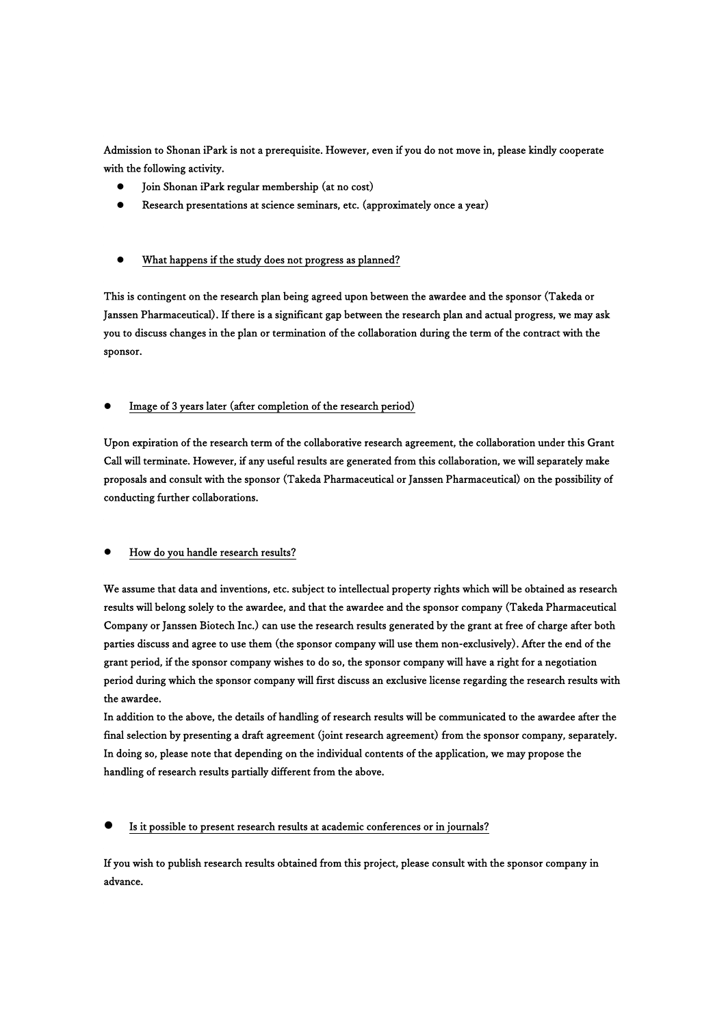Admission to Shonan iPark is not a prerequisite. However, even if you do not move in, please kindly cooperate with the following activity.

- ⚫ Join Shonan iPark regular membership (at no cost)
- ⚫ Research presentations at science seminars, etc. (approximately once a year)

### ⚫ What happens if the study does not progress as planned?

This is contingent on the research plan being agreed upon between the awardee and the sponsor (Takeda or Janssen Pharmaceutical). If there is a significant gap between the research plan and actual progress, we may ask you to discuss changes in the plan or termination of the collaboration during the term of the contract with the sponsor.

⚫ Image of 3 years later (after completion of the research period)

Upon expiration of the research term of the collaborative research agreement, the collaboration under this Grant Call will terminate. However, if any useful results are generated from this collaboration, we will separately make proposals and consult with the sponsor (Takeda Pharmaceutical or Janssen Pharmaceutical) on the possibility of conducting further collaborations.

### ⚫ How do you handle research results?

We assume that data and inventions, etc. subject to intellectual property rights which will be obtained as research results will belong solely to the awardee, and that the awardee and the sponsor company (Takeda Pharmaceutical Company or Janssen Biotech Inc.) can use the research results generated by the grant at free of charge after both parties discuss and agree to use them (the sponsor company will use them non-exclusively). After the end of the grant period, if the sponsor company wishes to do so, the sponsor company will have a right for a negotiation period during which the sponsor company will first discuss an exclusive license regarding the research results with the awardee.

In addition to the above, the details of handling of research results will be communicated to the awardee after the final selection by presenting a draft agreement (joint research agreement) from the sponsor company, separately. In doing so, please note that depending on the individual contents of the application, we may propose the handling of research results partially different from the above.

### ⚫ Is it possible to present research results at academic conferences or in journals?

If you wish to publish research results obtained from this project, please consult with the sponsor company in advance.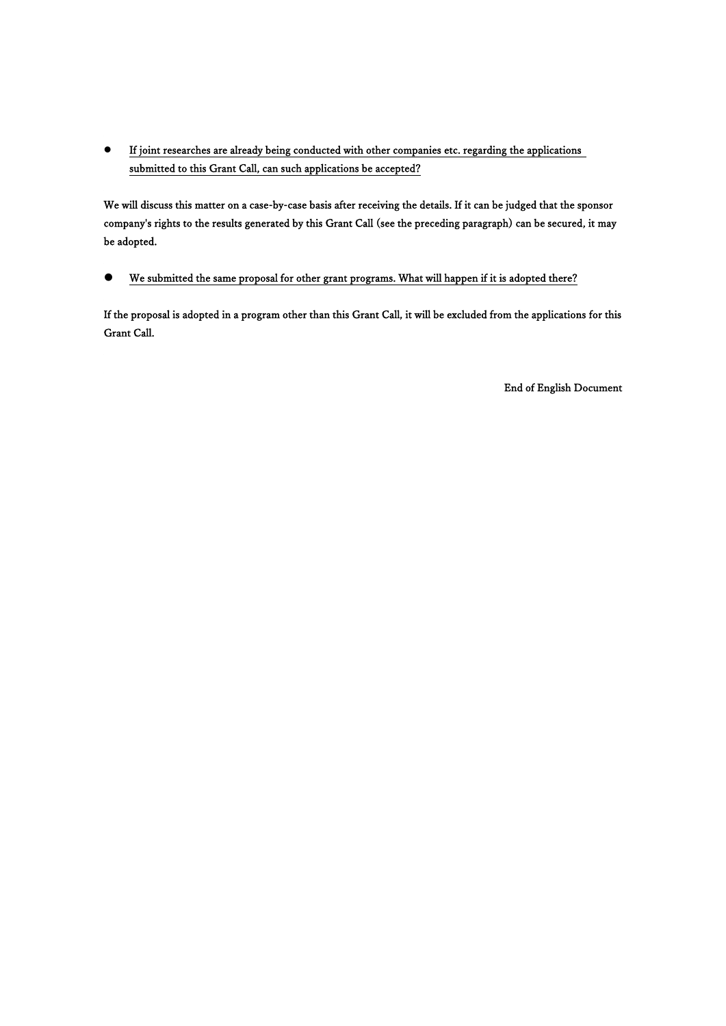⚫ If joint researches are already being conducted with other companies etc. regarding the applications submitted to this Grant Call, can such applications be accepted?

We will discuss this matter on a case-by-case basis after receiving the details. If it can be judged that the sponsor company's rights to the results generated by this Grant Call (see the preceding paragraph) can be secured, it may be adopted.

## ⚫ We submitted the same proposal for other grant programs. What will happen if it is adopted there?

If the proposal is adopted in a program other than this Grant Call, it will be excluded from the applications for this Grant Call.

End of English Document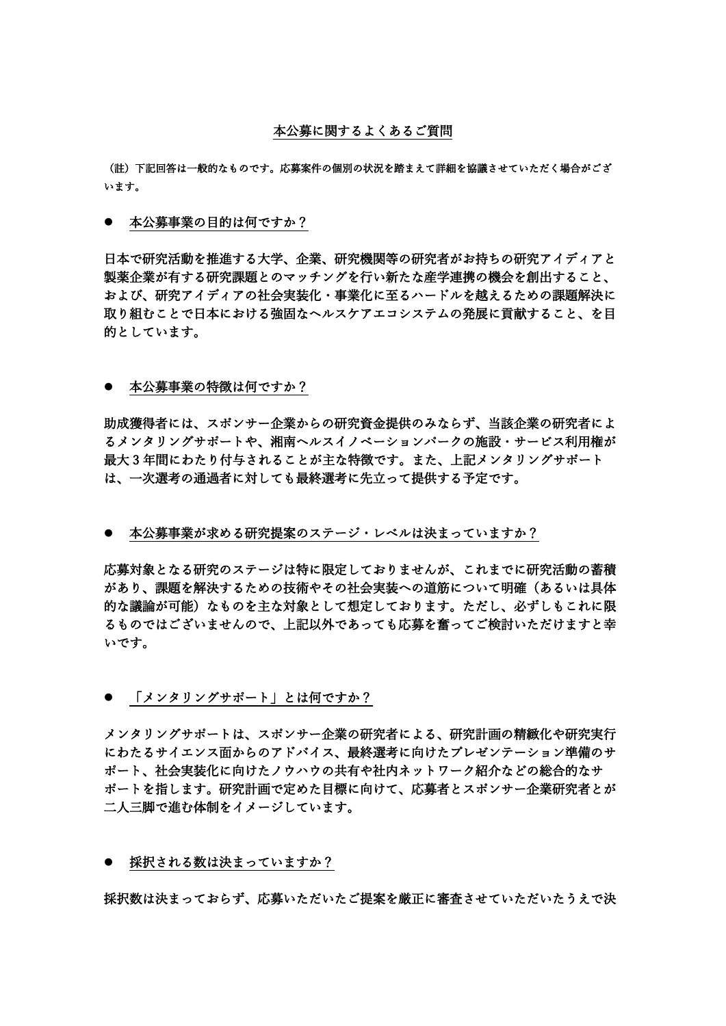### 本公募に関するよくあるご質問

(註)下記回答は一般的なものです。応募案件の個別の状況を踏まえて詳細を協議させていただく場合がござ います。

● 本公募事業の目的は何ですか?

日本で研究活動を推進する大学、企業、研究機関等の研究者がお持ちの研究アイディアと 製薬企業が有する研究課題とのマッチングを行い新たな産学連携の機会を創出すること、 および、研究アイディアの社会実装化・事業化に至るハードルを越えるための課題解決に 取り組むことで日本における強固なヘルスケアエコシステムの発展に貢献すること、を目 的としています。

### ● 本公募事業の特徴は何ですか?

助成獲得者には、スポンサー企業からの研究資金提供のみならず、当該企業の研究者によ るメンタリングサポートや、湘南ヘルスイノベーションパークの施設・サービス利用権が 最大 3 年間にわたり付与されることが主な特徴です。また、上記メンタリングサポート は、一次選考の通過者に対しても最終選考に先立って提供する予定です。

#### ● 本公募事業が求める研究提案のステージ・レベルは決まっていますか?

応募対象となる研究のステージは特に限定しておりませんが、これまでに研究活動の蓄積 があり、課題を解決するための技術やその社会実装への道筋について明確(あるいは具体 的な議論が可能)なものを主な対象として想定しております。ただし、必ずしもこれに限 るものではございませんので、上記以外であっても応募を奮ってご検討いただけますと幸 いです。

⚫ 「メンタリングサポート」とは何ですか?

メンタリングサポートは、スポンサー企業の研究者による、研究計画の精緻化や研究実行 にわたるサイエンス面からのアドバイス、最終選考に向けたプレゼンテーション準備のサ ポート、社会実装化に向けたノウハウの共有や社内ネットワーク紹介などの総合的なサ ポートを指します。研究計画で定めた目標に向けて、応募者とスポンサー企業研究者とが 二人三脚で進む体制をイメージしています。

● 採択される数は決まっていますか?

採択数は決まっておらず、応募いただいたご提案を厳正に審査させていただいたうえで決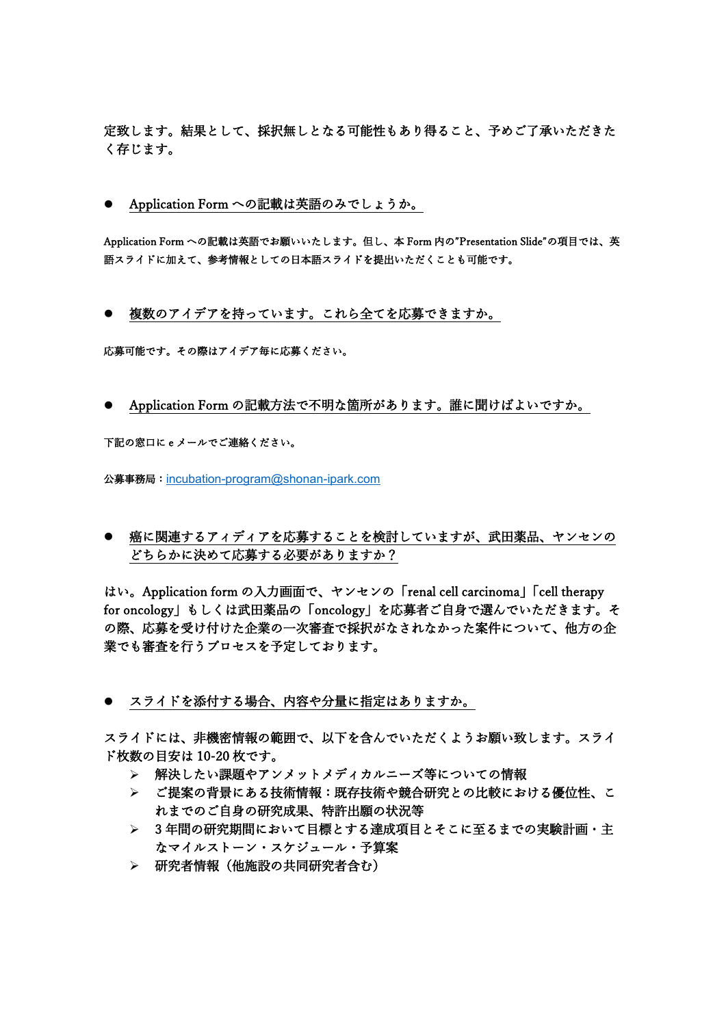定致します。結果として、採択無しとなる可能性もあり得ること、予めご了承いただきた く存じます。

⚫ Application Form への記載は英語のみでしょうか。

Application Form への記載は英語でお願いいたします。但し、本 Form 内の"Presentation Slide"の項目では、英 語スライドに加えて、参考情報としての日本語スライドを提出いただくことも可能です。

● 複数のアイデアを持っています。これら全てを応募できますか。

応募可能です。その際はアイデア毎に応募ください。

● Application Form の記載方法で不明な箇所があります。誰に聞けばよいですか。

下記の窓口に e メールでご連絡ください。

公募事務局:[incubation-program@shonan-ipark.com](mailto:incubation-program@shonan-ipark.com)

⚫ 癌に関連するアィディアを応募することを検討していますが、武田薬品、ヤンセンの どちらかに決めて応募する必要がありますか?

はい。Application form の入力画面で、ヤンセンの「renal cell carcinoma」「cell therapy for oncology」もしくは武田薬品の「oncology」を応募者ご自身で選んでいただきます。そ の際、応募を受け付けた企業の一次審査で採択がなされなかった案件について、他方の企 業でも審査を行うプロセスを予定しております。

● スライドを添付する場合、内容や分量に指定はありますか。

スライドには、非機密情報の範囲で、以下を含んでいただくようお願い致します。スライ ド枚数の目安は 10-20 枚です。

- ➢ 解決したい課題やアンメットメディカルニーズ等についての情報
- ➢ ご提案の背景にある技術情報:既存技術や競合研究との比較における優位性、こ れまでのご自身の研究成果、特許出願の状況等
- ➢ 3 年間の研究期間において目標とする達成項目とそこに至るまでの実験計画・主 なマイルストーン・スケジュール・予算案
- ➢ 研究者情報(他施設の共同研究者含む)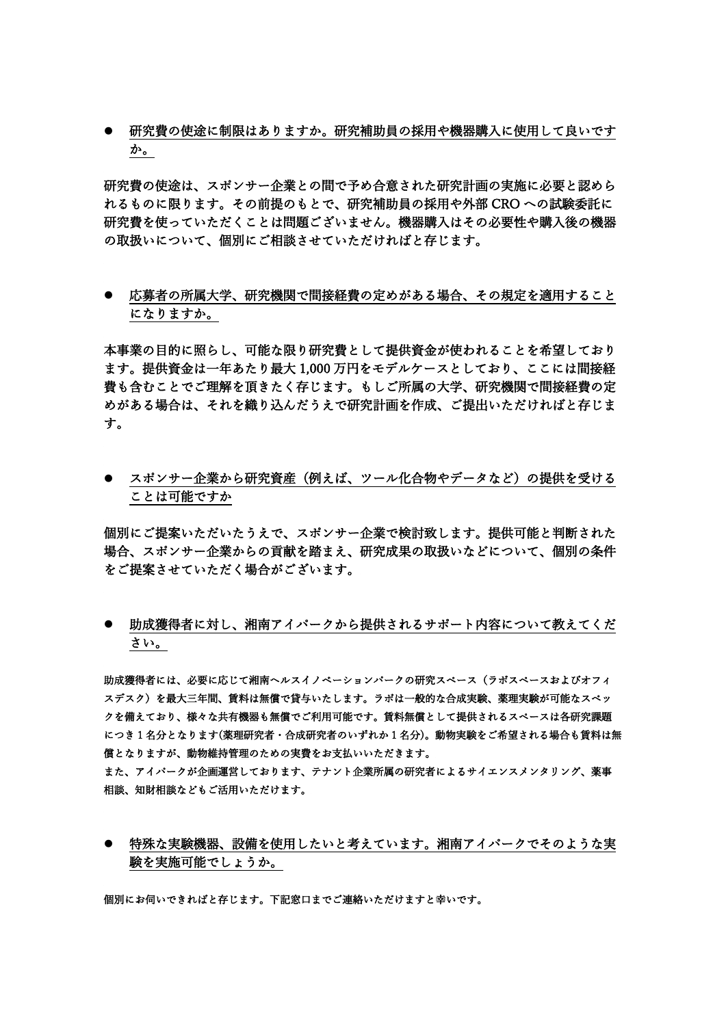● 研究費の使途に制限はありますか。研究補助員の採用や機器購入に使用して良いです か。

研究費の使途は、スポンサー企業との間で予め合意された研究計画の実施に必要と認めら れるものに限ります。その前提のもとで、研究補助員の採用や外部 CRO への試験委託に 研究費を使っていただくことは問題ございません。機器購入はその必要性や購入後の機器 の取扱いについて、個別にご相談させていただければと存じます。

⚫ 応募者の所属大学、研究機関で間接経費の定めがある場合、その規定を適用すること になりますか。

本事業の目的に照らし、可能な限り研究費として提供資金が使われることを希望しており ます。提供資金は一年あたり最大 1,000 万円をモデルケースとしており、ここには間接経 費も含むことでご理解を頂きたく存じます。もしご所属の大学、研究機関で間接経費の定 めがある場合は、それを織り込んだうえで研究計画を作成、ご提出いただければと存じま す。

● スポンサー企業から研究資産(例えば、ツール化合物やデータなど)の提供を受ける ことは可能ですか

個別にご提案いただいたうえで、スポンサー企業で検討致します。提供可能と判断された 場合、スポンサー企業からの貢献を踏まえ、研究成果の取扱いなどについて、個別の条件 をご提案させていただく場合がございます。

⚫ 助成獲得者に対し、湘南アイパークから提供されるサポート内容について教えてくだ さい。

助成獲得者には、必要に応じて湘南ヘルスイノベーションパークの研究スペース(ラボスペースおよびオフィ スデスク)を最大三年間、賃料は無償で貸与いたします。ラボは一般的な合成実験、薬理実験が可能なスペッ クを備えており、様々な共有機器も無償でご利用可能です。賃料無償として提供されるスペースは各研究課題 につき 1 名分となります(薬理研究者・合成研究者のいずれか 1 名分)。動物実験をご希望される場合も賃料は無 償となりますが、動物維持管理のための実費をお支払いいただきます。 また、アイパークが企画運営しております、テナント企業所属の研究者によるサイエンスメンタリング、薬事

相談、知財相談などもご活用いただけます。

⚫ 特殊な実験機器、設備を使用したいと考えています。湘南アイパークでそのような実 験を実施可能でしょうか。

個別にお伺いできればと存じます。下記窓口までご連絡いただけますと幸いです。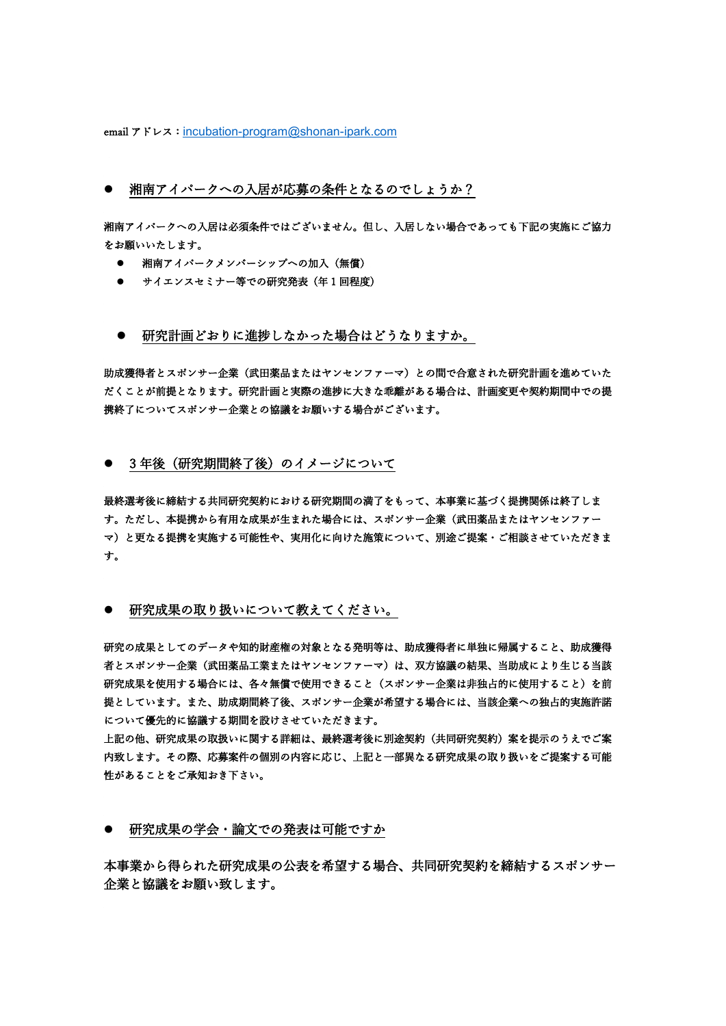email アドレス: [incubation-program@shonan-ipark.com](mailto:incubation-program@shonan-ipark.com)

### ● 湘南アイパークへの入居が応募の条件となるのでしょうか?

湘南アイパークへの入居は必須条件ではございません。但し、入居しない場合であっても下記の実施にご協力 をお願いいたします。

- 湘南アイパークメンバーシップへの加入 (無償)
- サイエンスセミナー等での研究発表 (年1回程度)
- 研究計画どおりに進捗しなかった場合はどうなりますか。

助成獲得者とスポンサー企業(武田薬品またはヤンセンファーマ)との間で合意された研究計画を進めていた だくことが前提となります。研究計画と実際の進捗に大きな乖離がある場合は、計画変更や契約期間中での提 携終了についてスポンサー企業との協議をお願いする場合がございます。

### ● 3年後(研究期間終了後)のイメージについて

最終選考後に締結する共同研究契約における研究期間の満了をもって、本事業に基づく提携関係は終了しま す。ただし、本提携から有用な成果が生まれた場合には、スポンサー企業(武田薬品またはヤンセンファー マ)と更なる提携を実施する可能性や、実用化に向けた施策について、別途ご提案・ご相談させていただきま す。

### ● 研究成果の取り扱いについて教えてください。

研究の成果としてのデータや知的財産権の対象となる発明等は、助成獲得者に単独に帰属すること、助成獲得 者とスポンサー企業(武田薬品工業またはヤンセンファーマ)は、双方協議の結果、当助成により生じる当該 研究成果を使用する場合には、各々無償で使用できること(スポンサー企業は非独占的に使用すること)を前 提としています。また、助成期間終了後、スポンサー企業が希望する場合には、当該企業への独占的実施許諾 について優先的に協議する期間を設けさせていただきます。

上記の他、研究成果の取扱いに関する詳細は、最終選考後に別途契約(共同研究契約)案を提示のうえでご案 内致します。その際、応募案件の個別の内容に応じ、上記と一部異なる研究成果の取り扱いをご提案する可能 性があることをご承知おき下さい。

### ● 研究成果の学会・論文での発表は可能ですか

本事業から得られた研究成果の公表を希望する場合、共同研究契約を締結するスポンサー 企業と協議をお願い致します。